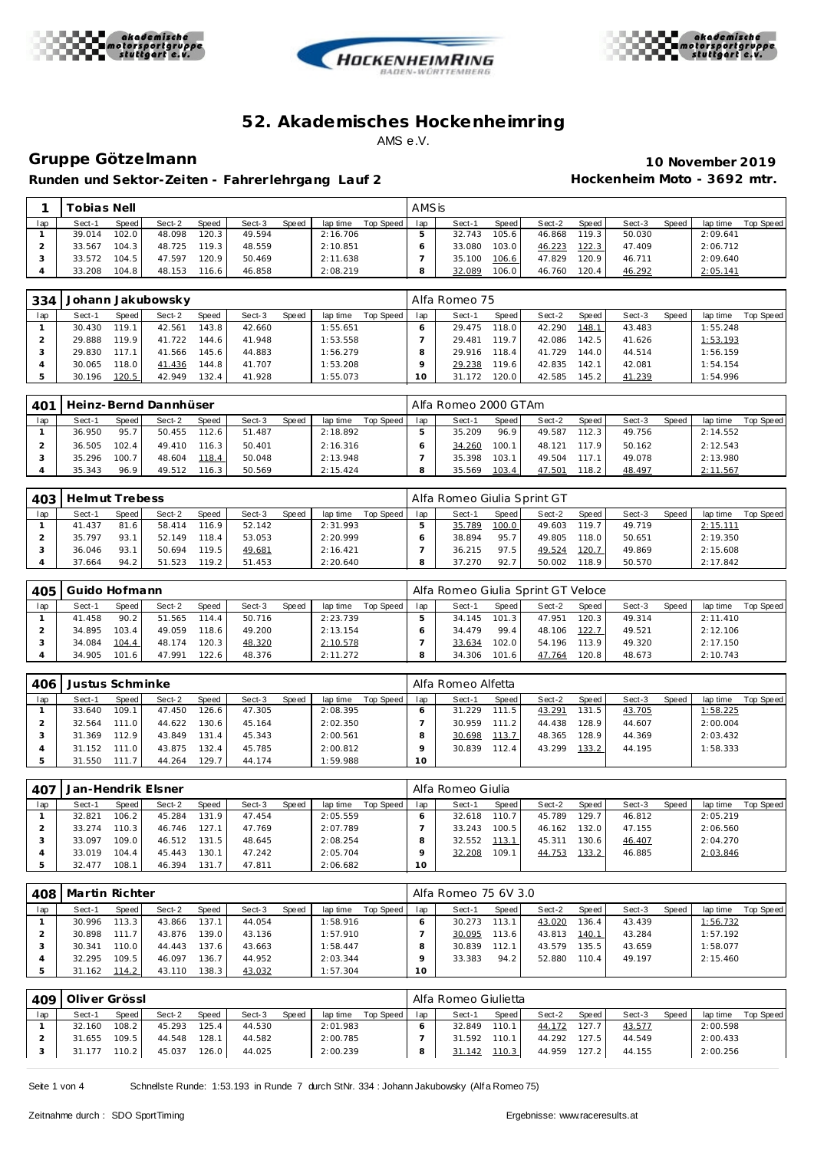





## **Gruppe Götze lmann 10 November 2019**

Runden und Sektor-Zeiten - Fahrer lehrgang Lauf 2 **Hockenheim Moto - 3692 mtr.** 

|     | <sup>-</sup> obias Nell |       |        |           |        |       |          |           | AMSis |        |       |        |                    |        |              |          |           |
|-----|-------------------------|-------|--------|-----------|--------|-------|----------|-----------|-------|--------|-------|--------|--------------------|--------|--------------|----------|-----------|
| lap | Sect-1                  | Speed | Sect-2 | Speed     | Sect-3 | Speed | lap time | Top Speed | lap   | Sect-1 | Speed | Sect-2 | Speed              | Sect-3 | <b>Speed</b> | lap time | Top Speed |
|     | 39.014                  | 102.0 | 48.098 | 120.3     | 49.594 |       | 2:16.706 |           |       | 32.743 | 105.6 | 46.868 | 119.3              | 50.030 |              | 2:09.641 |           |
|     | 33.567                  | 104.3 | 48.725 | 119.3     | 48.559 |       | 2:10.851 |           |       | 33.080 | 103.0 | 46.223 | 122.3              | 47.409 |              | 2:06.712 |           |
|     | 33.572                  | 104.5 | 47.597 | $120.9$ . | 50.469 |       | 2:11.638 |           |       | 35.100 | 106.6 | 47.829 | 120.9 <sub>1</sub> | 46.711 |              | 2:09.640 |           |
|     | 33.208                  | 104.8 | 48.153 | 116.6     | 46.858 |       | 2:08.219 |           |       | 32.089 | 106.0 | 46.760 | 120.4              | 46.292 |              | 2:05.141 |           |

| 334 |        |       | Johann Jakubowsky |              |        |       |          |           |        | Alfa Romeo 75 |       |        |       |        |       |          |           |
|-----|--------|-------|-------------------|--------------|--------|-------|----------|-----------|--------|---------------|-------|--------|-------|--------|-------|----------|-----------|
| lap | Sect-1 | Speed | Sect-2            | <b>Speed</b> | Sect-3 | Speed | lap time | Top Speed | lap    | Sect-1        | Speed | Sect-2 | Speed | Sect-3 | Speed | lap time | Top Speed |
|     | 30.430 | 119.1 | 42.561            | 143.8        | 42.660 |       | 1:55.651 |           |        | 29.475        | 118.0 | 42.290 | 148.1 | 43.483 |       | 1:55.248 |           |
|     | 29.888 | 119.9 | 41.722            | 144.6        | 41.948 |       | 1:53.558 |           |        | 29.481        | 119.7 | 42.086 | 142.5 | 41.626 |       | 1:53.193 |           |
|     | 29.830 | 117.1 | 41.566            | 145.6        | 44.883 |       | 1:56.279 |           |        | 29.916        | 118.4 | 41.729 | 144.0 | 44.514 |       | 1:56.159 |           |
|     | 30.065 | 118.0 | 41.436            | 144.8        | 41.707 |       | 1:53.208 |           |        | 29.238        | 119.6 | 42.835 | 142.1 | 42.081 |       | 1:54.154 |           |
|     | 30.196 | 120.5 | 42.949            | 132.4        | 41.928 |       | 1:55.073 |           | $10-1$ | 31.172        | 120.0 | 42.585 | 145.2 | 41.239 |       | 1:54.996 |           |

| 401 |        |       | Heinz-Bernd Dannhüser |       |        |       |          |           |     | Alfa Romeo 2000 GTAm |       |        |       |        |       |          |           |
|-----|--------|-------|-----------------------|-------|--------|-------|----------|-----------|-----|----------------------|-------|--------|-------|--------|-------|----------|-----------|
| lap | Sect-1 | Speed | Sect-2                | Speed | Sect-3 | Speed | lap time | Top Speed | lap | Sect-1               | Speed | Sect-2 | Speed | Sect-3 | Speed | lap time | Top Speed |
|     | 36.950 | 95.7  | 50.455                | 112.6 | 51.487 |       | 2:18.892 |           |     | 35.209               | 96.9  | 49.587 | 112.3 | 49.756 |       | 2:14.552 |           |
|     | 36.505 | 102.4 | 49.410                | 116.3 | 50.401 |       | 2:16.316 |           |     | 34.260               | 100.1 | 48.121 | 117.9 | 50.162 |       | 2:12.543 |           |
|     | 35.296 | 100.7 | 48.604                | 118.4 | 50.048 |       | 2:13.948 |           |     | 35.398               | 103.1 | 49.504 | 117.1 | 49.078 |       | 2:13.980 |           |
|     | 35.343 | 96.9  | 49.512                | 116.3 | 50.569 |       | 2:15.424 |           |     | 35.569               | 103.4 | 47.501 | 18.2  | 48.497 |       | 2:11.567 |           |

| 403 | Helmut Trebess |       |        |       |        |       |          |           |     | Alfa Romeo Giulia Sprint GT |       |        |       |        |              |          |           |
|-----|----------------|-------|--------|-------|--------|-------|----------|-----------|-----|-----------------------------|-------|--------|-------|--------|--------------|----------|-----------|
| lap | Sect-1         | Speed | Sect-2 | Speed | Sect-3 | Speed | lap time | Top Speed | lap | Sect-1                      | Speed | Sect-2 | Speed | Sect-3 | <b>Speed</b> | lap time | Top Speed |
|     | 41.437         | 81.6  | 58.414 | 116.9 | 52.142 |       | 2:31.993 |           |     | 35.789                      | 100.0 | 49.603 | 119.7 | 49.719 |              | 2:15.111 |           |
|     | 35.797         | 93.1  | 52.149 | 118.4 | 53.053 |       | 2:20.999 |           |     | 38.894                      | 95.7  | 49.805 | 118.0 | 50.651 |              | 2:19.350 |           |
|     | 36.046         | 93.1  | 50.694 | 119.5 | 49.681 |       | 2:16.421 |           |     | 36.215                      | 97.5  | 49.524 | 120.7 | 49.869 |              | 2:15.608 |           |
|     | 37.664         | 94.2  | 51.523 | 119.2 | 51.453 |       | 2:20.640 |           |     | 37.270                      | 92.7  | 50.002 | 118.9 | 50.570 |              | 2:17.842 |           |

| 405 | Guido Hofmann |       |        |       |        |       |          |             |     | Alfa Romeo Giulia Sprint GT Veloce |       |        |       |        |              |          |           |
|-----|---------------|-------|--------|-------|--------|-------|----------|-------------|-----|------------------------------------|-------|--------|-------|--------|--------------|----------|-----------|
| lap | Sect-1        | Speed | Sect-2 | Speed | Sect-3 | Speed | lap time | Top Speed I | lap | Sect-1                             | Speed | Sect-2 | Speed | Sect-3 | <b>Speed</b> | lap time | Top Speed |
|     | 41.458        | 90.2  | 51.565 | 114.4 | 50.716 |       | 2:23.739 |             |     | 34.145                             | 101.3 | 47.951 | 120.3 | 49.314 |              | 2:11.410 |           |
|     | 34.895        | 103.4 | 49.059 | 118.6 | 49.200 |       | 2:13.154 |             |     | 34.479                             | 99.4  | 48.106 | 122.7 | 49.521 |              | 2:12.106 |           |
|     | 34.084        | 104.4 | 48.174 | 120.3 | 48.320 |       | 2:10.578 |             |     | 33.634                             | 102.0 | 54.196 | 113.9 | 49.320 |              | 2:17.150 |           |
|     | 34.905        | 101.6 | 47.991 | 122.6 | 48.376 |       | 2:11.272 |             |     | 34.306                             | 101.6 | 47.764 | 20.8  | 48.673 |              | 2:10.743 |           |

| 406 | Justus Schminke |         |        |              |        |       |          |           |     | Alfa Romeo Alfetta |       |        |         |        |       |          |           |
|-----|-----------------|---------|--------|--------------|--------|-------|----------|-----------|-----|--------------------|-------|--------|---------|--------|-------|----------|-----------|
| lap | Sect-1          | Speed I | Sect-2 | <b>Speed</b> | Sect-3 | Speed | lap time | Top Speed | lap | Sect-1             | Speed | Sect-2 | Speed I | Sect-3 | Speed | lap time | Top Speed |
|     | 33.640          | 109.1   | 47.450 | 126.6        | 47.305 |       | 2:08.395 |           |     | 31.229             | 111.5 | 43.291 | 131.5   | 43.705 |       | 1:58.225 |           |
|     | 32.564          | 111.0   | 44.622 | 30.6         | 45.164 |       | 2:02.350 |           |     | 30.959             | 111.2 | 44.438 | 128.9   | 44.607 |       | 2:00.004 |           |
|     | 31.369          | 112.9   | 43.849 | 131.4        | 45.343 |       | 2:00.561 |           |     | 30.698             | 13.7  | 48.365 | 128.9   | 44.369 |       | 2:03.432 |           |
|     | 31.152          | 111.0   | 43.875 | 132.4        | 45.785 |       | 2:00.812 |           |     | 30.839             | 112.4 | 43.299 | 133.2   | 44.195 |       | 1:58.333 |           |
|     | 31.550          | 111.7   | 44.264 | 129.7        | 44.174 |       | 1:59.988 |           | 10  |                    |       |        |         |        |       |          |           |

| 407 |        |       | Jan-Hendrik Elsner |              |        |       |          |           |     | Alfa Romeo Giulia |       |        |        |        |       |          |           |
|-----|--------|-------|--------------------|--------------|--------|-------|----------|-----------|-----|-------------------|-------|--------|--------|--------|-------|----------|-----------|
| lap | Sect-1 | Speed | Sect-2             | <b>Speed</b> | Sect-3 | Speed | lap time | Top Speed | lap | Sect-1            | Speed | Sect-2 | Speed  | Sect-3 | Speed | lap time | Top Speed |
|     | 32.821 | 106.2 | 45.284             | 131.9        | 47.454 |       | 2:05.559 |           |     | 32.618            | 110.7 | 45.789 | 129.7. | 46.812 |       | 2:05.219 |           |
|     | 33.274 | 110.3 | 46.746             | 127.1        | 47.769 |       | 2:07.789 |           |     | 33.243            | 100.5 | 46.162 | 132.0  | 47.155 |       | 2:06.560 |           |
|     | 33.097 | 109.0 | 46.512             | 131.5        | 48.645 |       | 2:08.254 |           |     | 32.552            | 113.1 | 45.311 | 130.6  | 46.407 |       | 2:04.270 |           |
|     | 33.019 | 104.4 | 45.443             | 130.1        | 47.242 |       | 2:05.704 |           |     | 32.208            | 109.1 | 44.753 | 133.2  | 46.885 |       | 2:03.846 |           |
|     | 32.477 | 108.1 | 46.394             | 131.7        | 47.811 |       | 2:06.682 |           | 10  |                   |       |        |        |        |       |          |           |

| 408 | Martin Richter |       |        |        |        |       |          |           |     | Alfa Romeo 75 6V 3.0 |       |        |        |        |       |          |           |
|-----|----------------|-------|--------|--------|--------|-------|----------|-----------|-----|----------------------|-------|--------|--------|--------|-------|----------|-----------|
| lap | Sect-1         | Speed | Sect-2 | Speed  | Sect-3 | Speed | lap time | Top Speed | lap | Sect-1               | Speed | Sect-2 | Speed  | Sect-3 | Speed | lap time | Top Speed |
|     | 30.996         | 113.3 | 43.866 | 137.1  | 44.054 |       | 1:58.916 |           |     | 30.273               | 113.1 | 43.020 | 136.4  | 43.439 |       | 1:56.732 |           |
|     | 30.898         | 111.7 | 43.876 | 139.0  | 43.136 |       | 1:57.910 |           |     | 30.095               | 113.6 | 43.813 | 140.1  | 43.284 |       | 1:57.192 |           |
|     | 30.341         | 110.0 | 44.443 | 137.61 | 43.663 |       | 1:58.447 |           |     | 30.839               | 112.1 | 43.579 | 135.51 | 43.659 |       | 1:58.077 |           |
|     | 32.295         | 109.5 | 46.097 | 136.7  | 44.952 |       | 2:03.344 |           |     | 33.383               | 94.2  | 52.880 | 110.4  | 49.197 |       | 2:15.460 |           |
|     | 31.162         | 114.2 | 43.110 | 138.3  | 43.032 |       | 1:57.304 |           | 10  |                      |       |        |        |        |       |          |           |

| 409 | Oliver Grössl |        |        |       |        |       |          |             |     | Alfa Romeo Giulietta |       |        |                    |        |       |          |           |
|-----|---------------|--------|--------|-------|--------|-------|----------|-------------|-----|----------------------|-------|--------|--------------------|--------|-------|----------|-----------|
| lap | Sect-1        | Speed  | Sect-2 | Speed | Sect-3 | Speed | lap time | Top Speed I | lap | Sect-1               | Speed | Sect-2 | Speed              | Sect-3 | Speed | lap time | Top Speed |
|     | 32.160        | 108.2  | 45.293 | 125.4 | 44.530 |       | 2:01.983 |             |     | 32.849               | 110.1 | 44.172 | 127.7 <sub>1</sub> | 43.577 |       | 2:00.598 |           |
|     | 31.655        | 109.5  | 44.548 | 128.1 | 44.582 |       | 2:00.785 |             |     | 31.592               | 110.1 | 44.292 | 127.5              | 44.549 |       | 2:00.433 |           |
|     | 31.177        | 110.21 | 45.037 | 126.0 | 44.025 |       | 2:00.239 |             |     | 31.142               | 110.3 | 44.959 | 127.2              | 44.155 |       | 2:00.256 |           |

Seite 1 von 4 Schnellste Runde: 1:53.193 in Runde 7 durch StNr. 334 : Johann Jakubowsky (Alf a Romeo 75)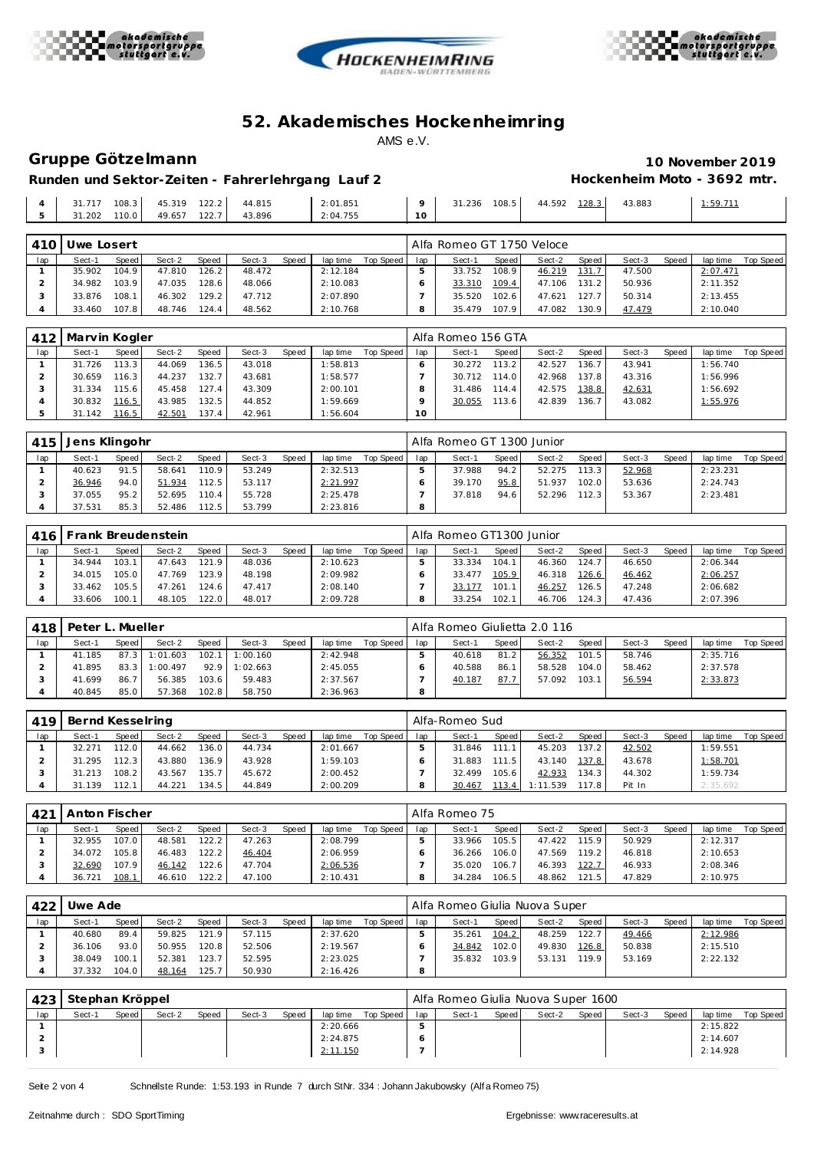





## **Gruppe Götze lmann 10 November 2019**

# **Hockenheim Moto - 3692 mtr.**

|                          |        | 108.3<br>. | 45.319<br>. | 1222               | 44.815 | 2:01.851 |         | 31.236 | $108.$ :<br>h<br>. | 44.592 | 283 | 43.883<br>. | $-50711$ |
|--------------------------|--------|------------|-------------|--------------------|--------|----------|---------|--------|--------------------|--------|-----|-------------|----------|
| $\overline{\phantom{a}}$ | 31.202 | 110.0      | 49.657      | 122.7 <sub>1</sub> | 43.896 | 2:04.755 | $\cdot$ |        |                    |        |     |             |          |
|                          |        |            |             |                    |        |          |         |        |                    |        |     |             |          |

| 410 | Uwe Losert |       |        |                    |        |              |          |           |     | Alfa Romeo GT 1750 Veloce |        |        |       |        |       |          |           |
|-----|------------|-------|--------|--------------------|--------|--------------|----------|-----------|-----|---------------------------|--------|--------|-------|--------|-------|----------|-----------|
| lap | Sect-1     | Speed | Sect-2 | Speed              | Sect-3 | <b>Speed</b> | lap time | Top Speed | lap | Sect-1                    | Speed  | Sect-2 | Speed | Sect-3 | Speed | lap time | Top Speed |
|     | 35.902     | 104.9 | 47.810 | 126.2 <sub>1</sub> | 48.472 |              | 2:12.184 |           |     | 33.752                    | 108.91 | 46.219 | 131.7 | 47.500 |       | 2:07.471 |           |
|     | 34.982     | 103.9 | 47.035 | 128.6              | 48.066 |              | 2:10.083 |           |     | 33.310                    | 109.4  | 47.106 | 131.2 | 50.936 |       | 2:11.352 |           |
|     | 33.876     | 108.1 | 46.302 | 129.2              | 47.712 |              | 2:07.890 |           |     | 35.520                    | 102.6  | 47.621 | 127.7 | 50.314 |       | 2:13.455 |           |
|     | 33.460     | 107.8 | 48.746 | 124.4              | 48.562 |              | 2:10.768 |           |     | 35.479                    | 107.9  | 47.082 | 130.9 | 47.479 |       | 2:10.040 |           |

| 412 | Marvin Kogler |           |        |              |        |       |          |           |                 | Alfa Romeo 156 GTA |       |        |                    |        |       |          |           |
|-----|---------------|-----------|--------|--------------|--------|-------|----------|-----------|-----------------|--------------------|-------|--------|--------------------|--------|-------|----------|-----------|
| lap | Sect-1        | Speed     | Sect-2 | <b>Speed</b> | Sect-3 | Speed | lap time | Top Speed | lap             | Sect-1             | Speed | Sect-2 | Speed              | Sect-3 | Speed | lap time | Top Speed |
|     | 31.726        | $113.3 +$ | 44.069 | 136.5        | 43.018 |       | 1:58.813 |           | O               | 30.272             | 113.2 | 42.527 | 136.7 <sub>1</sub> | 43.941 |       | 1:56.740 |           |
|     | 30.659        | 116.3     | 44.237 | 132.7        | 43.681 |       | 1:58.577 |           |                 | 30.712             | 114.0 | 42.968 | 137.8              | 43.316 |       | 1:56.996 |           |
|     | 31.334        | 115.61    | 45.458 | 127.4        | 43.309 |       | 2:00.101 |           |                 | 31.486             | 114.4 | 42.575 | 138.8              | 42.631 |       | 1:56.692 |           |
|     | 30.832        | 116.5     | 43.985 | 132.5        | 44.852 |       | 1:59.669 |           |                 | 30.055             | 113.6 | 42.839 | 136.71             | 43.082 |       | 1:55.976 |           |
|     | 31.142        | 116.5     | 42.501 | 137.4        | 42.961 |       | 1:56.604 |           | 10 <sup>°</sup> |                    |       |        |                    |        |       |          |           |

| 415 | Jens Klingohr |       |        |              |        |       |          |           |     | Alfa Romeo GT 1300 Junior |       |        |       |        |       |          |           |
|-----|---------------|-------|--------|--------------|--------|-------|----------|-----------|-----|---------------------------|-------|--------|-------|--------|-------|----------|-----------|
| lap | Sect-1        | Speed | Sect-2 | <b>Speed</b> | Sect-3 | Speed | lap time | Top Speed | lap | Sect-1                    | Speed | Sect-2 | Speed | Sect-3 | Speed | lap time | Top Speed |
|     | 40.623        | 91.5  | 58.641 | 110.9        | 53.249 |       | 2:32.513 |           |     | 37.988                    | 94.2  | 52.275 | 113.3 | 52.968 |       | 2:23.231 |           |
|     | 36.946        | 94.0  | 51.934 | 112.5        | 53.117 |       | 2:21.997 |           |     | 39.170                    | 95.8  | 51.937 | 102.0 | 53.636 |       | 2:24.743 |           |
|     | 37.055        | 95.2  | 52.695 | 110.4        | 55.728 |       | 2:25.478 |           |     | 37.818                    | 94.6  | 52.296 | 112.3 | 53.367 |       | 2:23.481 |           |
|     | 37.531        | 85.3  | 52.486 | 112.5        | 53.799 |       | 2:23.816 |           |     |                           |       |        |       |        |       |          |           |

| 4161 |        |       | Frank Breudenstein |                    |        |       |          |           |     | Alfa Romeo GT1300 Junior |       |        |         |        |              |          |           |
|------|--------|-------|--------------------|--------------------|--------|-------|----------|-----------|-----|--------------------------|-------|--------|---------|--------|--------------|----------|-----------|
| lap  | Sect-1 | Speed | Sect-2             | <b>Speed</b>       | Sect-3 | Speed | lap time | Top Speed | lap | Sect-1                   | Speed | Sect-2 | Speed I | Sect-3 | <b>Speed</b> | lap time | Top Speed |
|      | 34.944 | 103.1 | 47.643             | 121.9              | 48.036 |       | 2:10.623 |           |     | 33.334                   | 104.1 | 46.360 | 124.7   | 46.650 |              | 2:06.344 |           |
|      | 34.015 | 105.0 | 47.769             | 123.9              | 48.198 |       | 2:09.982 |           |     | 33.477                   | 105.9 | 46.318 | 126.6   | 46.462 |              | 2:06.257 |           |
|      | 33.462 | 105.5 | 47.261             | 124.6 <sub>1</sub> | 47.417 |       | 2:08.140 |           |     | 33.177                   | 101.1 | 46.257 | 126.5   | 47.248 |              | 2:06.682 |           |
|      | 33.606 | 100.1 | 48.105             | 22.0               | 48.017 |       | 2:09.728 |           |     | 33.254                   | 102.1 | 46.706 | 124.3   | 47.436 |              | 2:07.396 |           |

| 418 | Peter L. Mueller |       |          |              |          |       |          |           |     | Alfa Romeo Giulietta 2.0 116 |         |        |       |        |       |          |           |
|-----|------------------|-------|----------|--------------|----------|-------|----------|-----------|-----|------------------------------|---------|--------|-------|--------|-------|----------|-----------|
| lap | Sect-1           | Speed | Sect-2   | <b>Speed</b> | Sect-3   | Speed | lap time | Top Speed | lap | Sect-1                       | Speed ! | Sect-2 | Speed | Sect-3 | Speed | lap time | Top Speed |
|     | 41.185           | 87.3  | 1:01.603 | 102.1        | 1:00.160 |       | 2:42.948 |           |     | 40.618                       | 81.2    | 56.352 | 101.5 | 58.746 |       | 2:35.716 |           |
|     | 41.895           | 83.3  | : 00.497 | 92.9         | 1:02.663 |       | 2:45.055 |           |     | 40.588                       | 86.1    | 58.528 | 104.0 | 58.462 |       | 2:37.578 |           |
|     | 41.699           | 86.7  | 56.385   | 103.6        | 59.483   |       | 2:37.567 |           |     | 40.187                       | 87.7    | 57.092 | 103.1 | 56.594 |       | 2:33.873 |           |
|     | 40.845           | 85.0  | 57.368   | 102.8        | 58.750   |       | 2:36.963 |           |     |                              |         |        |       |        |       |          |           |

| 419 | Bernd Kesselring |       |        |       |        |       |          |           |     | Alfa-Romeo Sud |       |              |       |        |       |          |           |
|-----|------------------|-------|--------|-------|--------|-------|----------|-----------|-----|----------------|-------|--------------|-------|--------|-------|----------|-----------|
| lap | Sect-1           | Speed | Sect-2 | Speed | Sect-3 | Speed | lap time | Top Speed | lap | Sect-1         | Speed | Sect-2       | Speed | Sect-3 | Speed | lap time | Top Speed |
|     | 32.271           | 112.0 | 44.662 | 136.0 | 44.734 |       | 2:01.667 |           |     | 31.846         |       | 45.203       | 137.2 | 42.502 |       | 1:59.551 |           |
|     | 31.295           | 112.3 | 43.880 | 136.9 | 43.928 |       | 1:59.103 |           |     | 31.883         | 111.5 | 43.140       | 137.8 | 43.678 |       | 1:58.701 |           |
|     | 31.213           | 108.2 | 43.567 | 135.7 | 45.672 |       | 2:00.452 |           |     | 32.499         | 105.6 | 42.933       | 134.3 | 44.302 |       | 1:59.734 |           |
|     | 31.139           | 112.1 | 44.221 | 134.5 | 44.849 |       | 2:00.209 |           |     | 30.467         | 113.4 | .539<br>1:11 | 117.8 | Pit In |       | 2:35.692 |           |

| 42 <sup>1</sup> | Anton Fischer |       |        |              |        |       |          |           |     | Alfa Romeo 75 |       |        |       |        |       |          |           |
|-----------------|---------------|-------|--------|--------------|--------|-------|----------|-----------|-----|---------------|-------|--------|-------|--------|-------|----------|-----------|
| lap             | Sect-1        | Speed | Sect-2 | <b>Speed</b> | Sect-3 | Speed | lap time | Top Speed | lap | Sect-1        | Speed | Sect-2 | Speed | Sect-3 | Speed | lap time | Top Speed |
|                 | 32.955        | 107.0 | 48.581 | 122.2        | 47.263 |       | 2:08.799 |           |     | 33.966        | 105.5 | 47.422 | 115.9 | 50.929 |       | 2:12.317 |           |
|                 | 34.072        | 105.8 | 46.483 | 22.2         | 46.404 |       | 2:06.959 |           |     | 36.266        | 106.0 | 47.569 | 119.2 | 46.818 |       | 2:10.653 |           |
|                 | 32.690        | 107.9 | 46.142 | 22.6         | 47.704 |       | 2:06.536 |           |     | 35.020        | 106.7 | 46.393 | 122.7 | 46.933 |       | 2:08.346 |           |
|                 | 36.721        | 108.1 | 46.610 | 22.2         | 47.100 |       | 2:10.431 |           |     | 34.284        | 106.5 | 48.862 | 121.5 | 47.829 |       | 2:10.975 |           |

| 422 | Uwe Ade |         |        |       |        |       |          |           |     | Alfa Romeo Giulia Nuova Super |       |        |                    |        |              |          |           |
|-----|---------|---------|--------|-------|--------|-------|----------|-----------|-----|-------------------------------|-------|--------|--------------------|--------|--------------|----------|-----------|
| lap | Sect-1  | Speed I | Sect-2 | Speed | Sect-3 | Speed | lap time | Top Speed | lap | Sect-1                        | Speed | Sect-2 | Speed              | Sect-3 | <b>Speed</b> | lap time | Top Speed |
|     | 40.680  | 89.4    | 59.825 | 121.9 | 57.115 |       | 2:37.620 |           |     | 35.261                        | 104.2 | 48.259 | 122.7 <sub>1</sub> | 49.466 |              | 2:12.986 |           |
|     | 36.106  | 93.0    | 50.955 | 120.8 | 52.506 |       | 2:19.567 |           |     | 34.842                        | 102.0 | 49.830 | 126.8              | 50.838 |              | 2:15.510 |           |
|     | 38.049  | 100.1   | 52.381 | 123.7 | 52.595 |       | 2:23.025 |           |     | 35.832                        | 103.9 | 53.131 | 119.9              | 53.169 |              | 2:22.132 |           |
|     | 37.332  | 104.0   | 48.164 | 125.7 | 50.930 |       | 2:16.426 |           | o   |                               |       |        |                    |        |              |          |           |

| 423 | Stephan Kröppel |         |        |       |        |       |          |             |     | Alfa Romeo Giulia Nuova Super 1600 |       |        |       |        |       |          |           |
|-----|-----------------|---------|--------|-------|--------|-------|----------|-------------|-----|------------------------------------|-------|--------|-------|--------|-------|----------|-----------|
| lap | Sect-1          | Speed I | Sect-2 | Speed | Sect-3 | Speed | lap time | Top Speed I | lap | Sect-1                             | Speed | Sect-2 | Speed | Sect-3 | Speed | lap time | Top Speed |
|     |                 |         |        |       |        |       | 2:20.666 |             |     |                                    |       |        |       |        |       | 2:15.822 |           |
|     |                 |         |        |       |        |       | 2:24.875 |             |     |                                    |       |        |       |        |       | 2:14.607 |           |
|     |                 |         |        |       |        |       | 2:11.150 |             |     |                                    |       |        |       |        |       | 2:14.928 |           |

Seite 2 von 4 Schnellste Runde: 1:53.193 in Runde 7 durch StNr. 334 : Johann Jakubowsky (Alf a Romeo 75)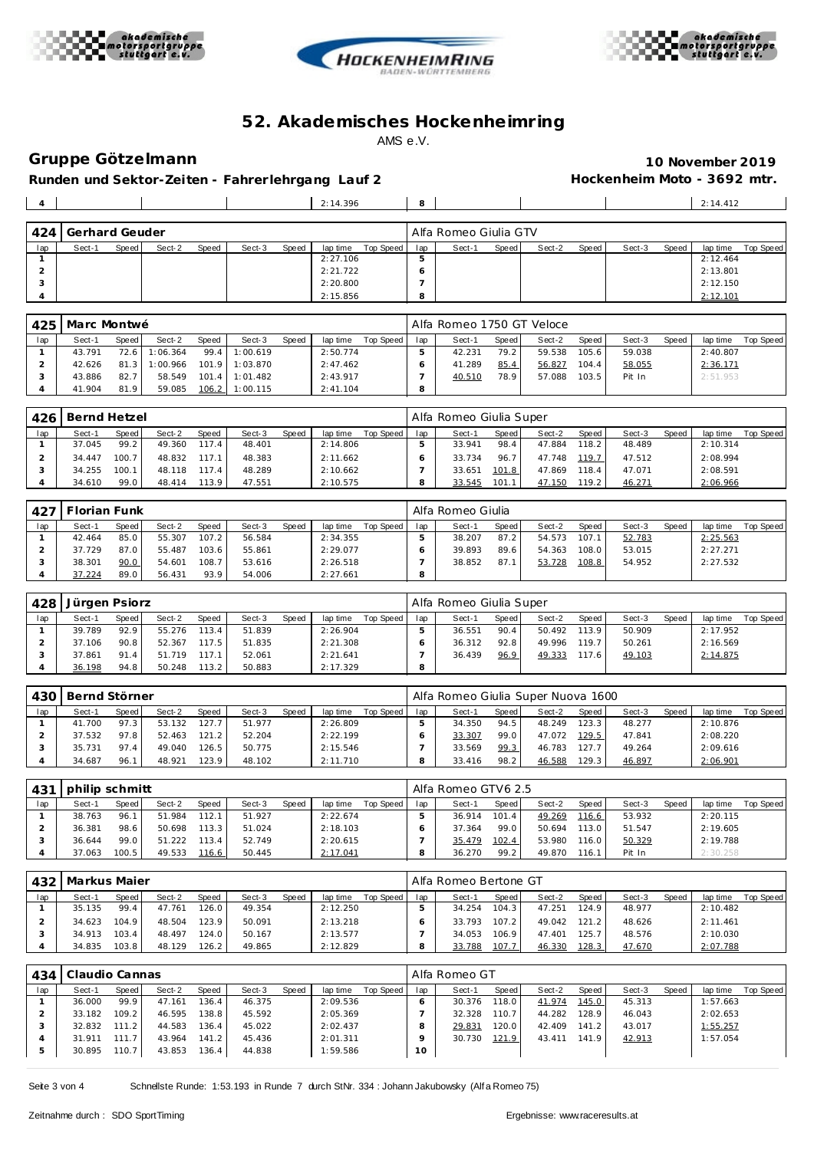





**Gruppe Götze lmann 10 November 2019** Runden und Sektor-Zeiten - Fahrer lehrgang Lauf 2 **hockenheim Moto - 3692 mtr.** 

| $\overline{4}$ |                |       |        |       |        |       | 2:14.396 |                 | 8       |                       |       |        |       |        |       | 2:14.412 |           |
|----------------|----------------|-------|--------|-------|--------|-------|----------|-----------------|---------|-----------------------|-------|--------|-------|--------|-------|----------|-----------|
|                |                |       |        |       |        |       |          |                 |         |                       |       |        |       |        |       |          |           |
| 424            | Gerhard Geuder |       |        |       |        |       |          |                 |         | Alfa Romeo Giulia GTV |       |        |       |        |       |          |           |
| lap            | Sect-1         | Speed | Sect-2 | Speed | Sect-3 | Speed | lap time | Top Speed   lap |         | Sect-1                | Speed | Sect-2 | Speed | Sect-3 | Speed | lap time | Top Speed |
|                |                |       |        |       |        |       | 2:27.106 |                 |         |                       |       |        |       |        |       | 2:12.464 |           |
|                |                |       |        |       |        |       | 2:21.722 |                 | O       |                       |       |        |       |        |       | 2:13.801 |           |
|                |                |       |        |       |        |       | 2:20.800 |                 |         |                       |       |        |       |        |       | 2:12.150 |           |
| 4              |                |       |        |       |        |       | 2:15.856 |                 | $\circ$ |                       |       |        |       |        |       | 2:12.101 |           |

|     | 425   Marc Montwé |       |          |              |          |       |           |           |     | Alfa Romeo 1750 GT Veloce |       |        |       |        |       |          |           |
|-----|-------------------|-------|----------|--------------|----------|-------|-----------|-----------|-----|---------------------------|-------|--------|-------|--------|-------|----------|-----------|
| lap | Sect-1            | Speed | Sect-2   | <b>Speed</b> | Sect-3   | Speed | lap time  | Top Speed | lap | Sect-1                    | Speed | Sect-2 | Speed | Sect-3 | Speed | lap time | Top Speed |
|     | 43.791            | 72.6  | 1:06.364 | 99.4         | 1:00.619 |       | 2:50.774  |           |     | 42.231                    | 79.2  | 59.538 | 105.6 | 59.038 |       | 2:40.807 |           |
|     | 42.626            | 81.3  | 1:00.966 | 101.9        | 1:03.870 |       | 2:47.462  |           |     | 41.289                    | 85.4  | 56.827 | 104.4 | 58.055 |       | 2:36.171 |           |
|     | 43.886            | 82.7  | 58.549   | 101.4        | 1:01.482 |       | 2:43.917  |           |     | 40.510                    | 78.9  | 57.088 | 103.5 | Pit In |       | 2:51.953 |           |
|     | 41.904            | 81.9  | 59.085   | 106.2        | 1:00.115 |       | 2: 41.104 |           | 8   |                           |       |        |       |        |       |          |           |

| 426 | Bernd Hetzel |       |        |              |        |       |          |           |     | Alfa Romeo Giulia Super |       |        |       |        |       |          |           |
|-----|--------------|-------|--------|--------------|--------|-------|----------|-----------|-----|-------------------------|-------|--------|-------|--------|-------|----------|-----------|
| lap | Sect-1       | Speed | Sect-2 | <b>Speed</b> | Sect-3 | Speed | lap time | Top Speed | lap | Sect-1                  | Speed | Sect-2 | Speed | Sect-3 | Speed | lap time | Top Speed |
|     | 37.045       | 99.2  | 49.360 | 117.4        | 48.401 |       | 2:14.806 |           |     | 33.941                  | 98.4  | 47.884 | 118.2 | 48.489 |       | 2:10.314 |           |
|     | 34.447       | 100.7 | 48.832 | 117.1        | 48.383 |       | 2:11.662 |           |     | 33.734                  | 96.7  | 47.748 | 119.7 | 47.512 |       | 2:08.994 |           |
|     | 34.255       | 100.1 | 48.118 | 117.4        | 48.289 |       | 2:10.662 |           |     | 33.651                  | 101.8 | 47.869 | 118.4 | 47.071 |       | 2:08.591 |           |
|     | 34.610       | 99.0  | 48.414 | 113.9        | 47.551 |       | 2:10.575 |           |     | 33.545                  | 101.1 | 47.150 | 19.2  | 46.271 |       | 2:06.966 |           |

| $-427$ | Florian Funk |       |        |       |        |       |          |           |     | Alfa Romeo Giulia |       |        |       |        |       |          |           |
|--------|--------------|-------|--------|-------|--------|-------|----------|-----------|-----|-------------------|-------|--------|-------|--------|-------|----------|-----------|
| lap    | Sect-1       | Speed | Sect-2 | Speed | Sect-3 | Speed | lap time | Top Speed | lap | Sect-1            | Speed | Sect-2 | Speed | Sect-3 | Speed | lap time | Top Speed |
|        | 42.464       | 85.0  | 55.307 | 107.2 | 56.584 |       | 2:34.355 |           |     | 38.207            | 87.2  | 54.573 | 107.1 | 52.783 |       | 2:25.563 |           |
|        | 37.729       | 87.0  | 55.487 | 103.6 | 55.861 |       | 2:29.077 |           |     | 39.893            | 89.6  | 54.363 | 108.0 | 53.015 |       | 2:27.271 |           |
|        | 38.301       | 90.0  | 54.601 | 108.7 | 53.616 |       | 2:26.518 |           |     | 38.852            | 87.1  | 53.728 | 108.8 | 54.952 |       | 2:27.532 |           |
|        | 37.224       | 89.0  | 56.431 | 93.9  | 54.006 |       | 2:27.661 |           |     |                   |       |        |       |        |       |          |           |

| 428 | Jürgen Psiorz |       |        |       |        |       |          |           |     | Alfa Romeo Giulia Super |       |        |                    |        |              |          |           |
|-----|---------------|-------|--------|-------|--------|-------|----------|-----------|-----|-------------------------|-------|--------|--------------------|--------|--------------|----------|-----------|
| lap | Sect-1        | Speed | Sect-2 | Speed | Sect-3 | Speed | lap time | Top Speed | lap | Sect-1                  | Speed | Sect-2 | Speed              | Sect-3 | <b>Speed</b> | lap time | Top Speed |
|     | 39.789        | 92.9  | 55.276 | 113.4 | 51.839 |       | 2:26.904 |           |     | 36.551                  | 90.4  | 50.492 | 113.9              | 50.909 |              | 2:17.952 |           |
|     | 37.106        | 90.8  | 52.367 | 117.5 | 51.835 |       | 2:21.308 |           |     | 36.312                  | 92.8  | 49.996 | 119.7 <sub>1</sub> | 50.261 |              | 2:16.569 |           |
|     | 37.861        | 91.4  | 51.719 | 117.1 | 52.061 |       | 2:21.641 |           |     | 36.439                  | 96.9  | 49.333 | 117.6 <sub>1</sub> | 49.103 |              | 2:14.875 |           |
|     | 36.198        | 94.8  | 50.248 | 113.2 | 50.883 |       | 2:17.329 |           | 8   |                         |       |        |                    |        |              |          |           |

| 43C | Bernd Störner |       |        |              |        |       |          |           |     | Alfa Romeo Giulia Super Nuova 1600 |       |        |       |        |              |          |           |
|-----|---------------|-------|--------|--------------|--------|-------|----------|-----------|-----|------------------------------------|-------|--------|-------|--------|--------------|----------|-----------|
| lap | Sect-1        | Speed | Sect-2 | <b>Speed</b> | Sect-3 | Speed | lap time | Top Speed | lap | Sect-1                             | Speed | Sect-2 | Speed | Sect-3 | <b>Speed</b> | lap time | Top Speed |
|     | 41.700        | 97.3  | 53.132 | 127.7        | 51.977 |       | 2:26.809 |           |     | 34.350                             | 94.5  | 48.249 | 123.3 | 48.277 |              | 2:10.876 |           |
|     | 37.532        | 97.8  | 52.463 | 121.2        | 52.204 |       | 2:22.199 |           |     | 33.307                             | 99.0  | 47.072 | 129.5 | 47.841 |              | 2:08.220 |           |
|     | 35.731        | 97.4  | 49.040 | 126.5        | 50.775 |       | 2:15.546 |           |     | 33.569                             | 99.3  | 46.783 | 127.7 | 49.264 |              | 2:09.616 |           |
|     | 34.687        | 96.1  | 48.921 | 123.9        | 48.102 |       | 2:11.710 |           |     | 33.416                             | 98.2  | 46.588 | 129.3 | 46.897 |              | 2:06.901 |           |

| .431 | l philip schmitt |       |        |                    |        |       |          |           |     | Alfa Romeo GTV6 2.5 |              |        |       |        |       |          |           |
|------|------------------|-------|--------|--------------------|--------|-------|----------|-----------|-----|---------------------|--------------|--------|-------|--------|-------|----------|-----------|
| lap  | Sect-1           | Speed | Sect-2 | <b>Speed</b>       | Sect-3 | Speed | lap time | Top Speed | lap | Sect-1              | <b>Speed</b> | Sect-2 | Speed | Sect-3 | Speed | lap time | Top Speed |
|      | 38.763           | 96.1  | 51.984 | 112.1              | 51.927 |       | 2:22.674 |           |     | 36.914              | 101.4        | 49.269 | 116.6 | 53.932 |       | 2:20.115 |           |
|      | 36.381           | 98.6  | 50.698 | 113.3 <sub>1</sub> | 51.024 |       | 2:18.103 |           |     | 37.364              | 99.0         | 50.694 | 113.0 | 51.547 |       | 2:19.605 |           |
|      | 36.644           | 99.0  | 51.222 | 113.4              | 52.749 |       | 2:20.615 |           |     | 35.479              | 102.4        | 53.980 | 116.0 | 50.329 |       | 2:19.788 |           |
|      | 37.063           | 100.5 | 49.533 | 116.6              | 50.445 |       | 2:17.041 |           |     | 36.270              | 99.2         | 49.870 | 116.1 | Pit In |       | 2:30.258 |           |

| 432 | Markus Maier |       |        |              |        |       |          |           |     | Alfa Romeo Bertone GT |       |        |        |        |              |          |           |
|-----|--------------|-------|--------|--------------|--------|-------|----------|-----------|-----|-----------------------|-------|--------|--------|--------|--------------|----------|-----------|
| lap | Sect-1       | Speed | Sect-2 | <b>Speed</b> | Sect-3 | Speed | lap time | Top Speed | lap | Sect-1                | Speed | Sect-2 | Speed  | Sect-3 | <b>Speed</b> | lap time | Top Speed |
|     | 35.135       | 99.4  | 47.761 | 126.01       | 49.354 |       | 2:12.250 |           |     | 34.254                | 104.3 | 47.251 | 124.9  | 48.977 |              | 2:10.482 |           |
|     | 34.623       | 104.9 | 48.504 | 123.91       | 50.091 |       | 2:13.218 |           |     | 33.793                | 107.2 | 49.042 | 121.2  | 48.626 |              | 2:11.461 |           |
|     | 34.913       | 103.4 | 48.497 | 124.01       | 50.167 |       | 2:13.577 |           |     | 34.053                | 106.9 | 47.401 | 125.7. | 48.576 |              | 2:10.030 |           |
|     | 34.835       | 103.8 | 48.129 | 126.2        | 49.865 |       | 2:12.829 |           |     | 33.788                | 107.7 | 46.330 | 128.3  | 47.670 |              | 2:07.788 |           |

| 434 | Claudio Cannas |       |        |                    |        |       |          |           |     | Alfa Romeo GT |       |        |                       |        |       |          |           |
|-----|----------------|-------|--------|--------------------|--------|-------|----------|-----------|-----|---------------|-------|--------|-----------------------|--------|-------|----------|-----------|
| lap | Sect-1         | Speed | Sect-2 | Speed              | Sect-3 | Speed | lap time | Top Speed | lap | Sect-1        | Speed | Sect-2 | Speed I               | Sect-3 | Speed | lap time | Top Speed |
|     | 36.000         | 99.9  | 47.161 | 136.4              | 46.375 |       | 2:09.536 |           |     | 30.376        | 118.0 | 41.974 | 145.0                 | 45.313 |       | 1:57.663 |           |
|     | 33.182         | 109.2 | 46.595 | 138.8              | 45.592 |       | 2:05.369 |           |     | 32.328        | 110.7 | 44.282 | 28.9                  | 46.043 |       | 2:02.653 |           |
|     | 32.832         | 111.2 | 44.583 | 136.4              | 45.022 |       | 2:02.437 |           |     | 29.831        | 120.0 | 42.409 | 141.2                 | 43.017 |       | 1:55.257 |           |
|     | 31.911         | 111.7 | 43.964 | 141.2 <sub>1</sub> | 45.436 |       | 2:01.311 |           |     | 30.730        | 121.9 | 43.411 | 141<br>$\overline{9}$ | 42.913 |       | 1:57.054 |           |
|     | 30.895         | 110.7 | 43.853 | 136.4              | 44.838 |       | 1:59.586 |           | 10  |               |       |        |                       |        |       |          |           |

Seite 3 von 4 Schnellste Runde: 1:53.193 in Runde 7 durch StNr. 334 : Johann Jakubowsky (Alf a Romeo 75)